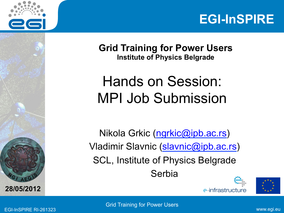



**Grid Training for Power Users Institute of Physics Belgrade** 

#### Hands on Session: MPI Job Submission

Nikola Grkic (ngrkic@ipb.ac.rs) Vladimir Slavnic (slavnic@ipb.ac.rs) SCL, Institute of Physics Belgrade Serbia





EGI-InSPIRE RI-261323 www.egi.eu Grid Training for Power Users

**A E <sup>G</sup>**

**28/05/2012**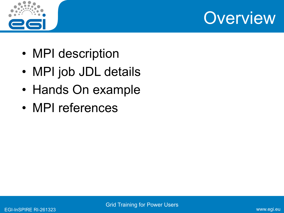



- MPI description
- MPI job JDL details
- Hands On example
- MPI references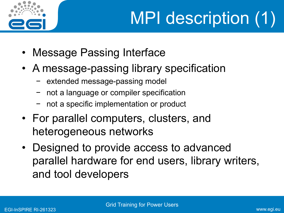

# MPI description (1)

- Message Passing Interface
- A message-passing library specification
	- − extended message-passing model
	- not a language or compiler specification
	- not a specific implementation or product
- For parallel computers, clusters, and heterogeneous networks
- Designed to provide access to advanced parallel hardware for end users, library writers, and tool developers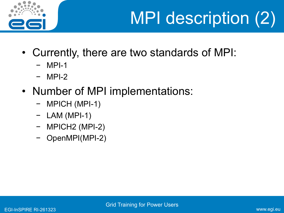

## MPI description (2)

- Currently, there are two standards of MPI:
	- − MPI-1
	- − MPI-2
- Number of MPI implementations:
	- − MPICH (MPI-1)
	- − LAM (MPI-1)
	- − MPICH2 (MPI-2)
	- − OpenMPI(MPI-2)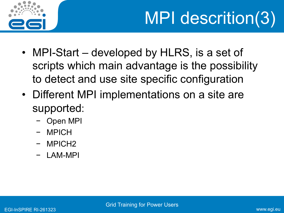

## MPI descrition(3)

- MPI-Start developed by HLRS, is a set of scripts which main advantage is the possibility to detect and use site specific configuration
- Different MPI implementations on a site are supported:
	- − Open MPI
	- − MPICH
	- − MPICH2
	- − LAM-MPI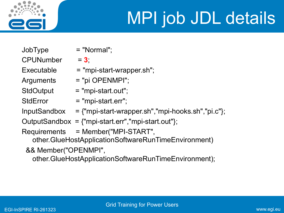

## MPI job JDL details

- $JobType$  = "Normal";  $CP$ UNumber =  $3$ ; Arguments = "pi OPENMPI";
- 
- 
- $Executeed = "mpi-start-wrapper.sh";$ 
	-
- StdOutput = "mpi-start.out";
- $StdError = "mpi-start.err";$
- $InputStreambox = {\text{``mpi-start-wrapper.sh''},\text{``mpi-hooks.sh''},\text{''pi.c''}};$
- OutputSandbox = {"mpi-start.err","mpi-start.out"};
- Requirements = Member("MPI-START",
	- other.GlueHostApplicationSoftwareRunTimeEnvironment)
	- && Member("OPENMPI",
		- other.GlueHostApplicationSoftwareRunTimeEnvironment);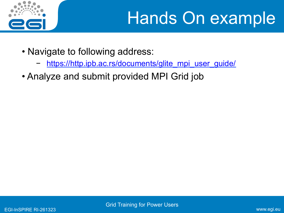

### Hands On example

- Navigate to following address:
	- https://http.ipb.ac.rs/documents/glite\_mpi\_user\_guide/
- Analyze and submit provided MPI Grid job